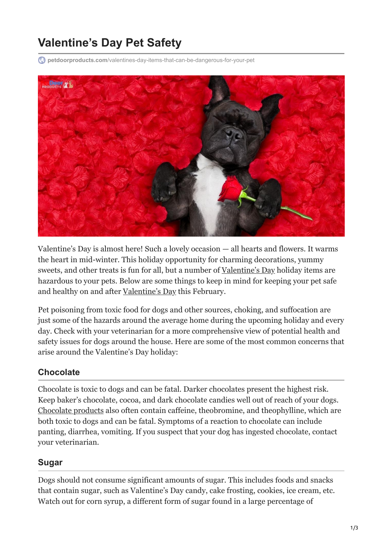# **Valentine's Day Pet Safety**

**petdoorproducts.com**[/valentines-day-items-that-can-be-dangerous-for-your-pet](https://petdoorproducts.com/valentines-day-items-that-can-be-dangerous-for-your-pet/)



Valentine's Day is almost here! Such a lovely occasion — all hearts and flowers. It warms the heart in mid-winter. This holiday opportunity for charming decorations, yummy sweets, and other treats is fun for all, but a number of [Valentine's Day](https://petdoorproducts.com/reasons-to-spend-valentines-day-with-your-dog/) holiday items are hazardous to your pets. Below are some things to keep in mind for keeping your pet safe and healthy on and after [Valentine's Day](https://petdoorproducts.com/7-ways-dog-makes-good-valentine/) this February.

Pet poisoning from toxic food for dogs and other sources, choking, and suffocation are just some of the hazards around the average home during the upcoming holiday and every day. Check with your veterinarian for a more comprehensive view of potential health and safety issues for dogs around the house. Here are some of the most common concerns that arise around the Valentine's Day holiday:

#### **Chocolate**

Chocolate is toxic to dogs and can be fatal. Darker chocolates present the highest risk. Keep baker's chocolate, cocoa, and dark chocolate candies well out of reach of your dogs. [Chocolate products](https://petdoorproducts.com/one-stop-guide-halloween-safety-tips-for-pets/) also often contain caffeine, theobromine, and theophylline, which are both toxic to dogs and can be fatal. Symptoms of a reaction to chocolate can include panting, diarrhea, vomiting. If you suspect that your dog has ingested chocolate, contact your veterinarian.

#### **Sugar**

Dogs should not consume significant amounts of sugar. This includes foods and snacks that contain sugar, such as Valentine's Day candy, cake frosting, cookies, ice cream, etc. Watch out for corn syrup, a different form of sugar found in a large percentage of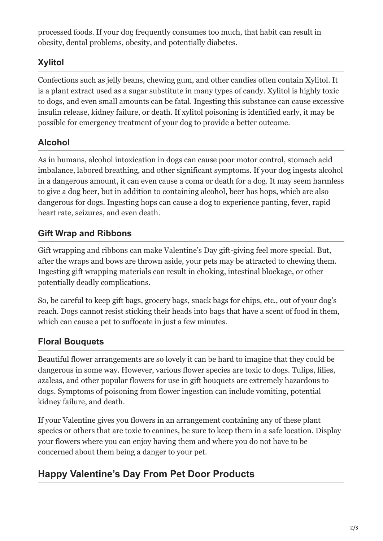processed foods. If your dog frequently consumes too much, that habit can result in obesity, dental problems, obesity, and potentially diabetes.

### **Xylitol**

Confections such as jelly beans, chewing gum, and other candies often contain Xylitol. It is a plant extract used as a sugar substitute in many types of candy. Xylitol is highly toxic to dogs, and even small amounts can be fatal. Ingesting this substance can cause excessive insulin release, kidney failure, or death. If xylitol poisoning is identified early, it may be possible for emergency treatment of your dog to provide a better outcome.

#### **Alcohol**

As in humans, alcohol intoxication in dogs can cause poor motor control, stomach acid imbalance, labored breathing, and other significant symptoms. If your dog ingests alcohol in a dangerous amount, it can even cause a coma or death for a dog. It may seem harmless to give a dog beer, but in addition to containing alcohol, beer has hops, which are also dangerous for dogs. Ingesting hops can cause a dog to experience panting, fever, rapid heart rate, seizures, and even death.

#### **Gift Wrap and Ribbons**

Gift wrapping and ribbons can make Valentine's Day gift-giving feel more special. But, after the wraps and bows are thrown aside, your pets may be attracted to chewing them. Ingesting gift wrapping materials can result in choking, intestinal blockage, or other potentially deadly complications.

So, be careful to keep gift bags, grocery bags, snack bags for chips, etc., out of your dog's reach. Dogs cannot resist sticking their heads into bags that have a scent of food in them, which can cause a pet to suffocate in just a few minutes.

#### **Floral Bouquets**

Beautiful flower arrangements are so lovely it can be hard to imagine that they could be dangerous in some way. However, various flower species are toxic to dogs. Tulips, lilies, azaleas, and other popular flowers for use in gift bouquets are extremely hazardous to dogs. Symptoms of poisoning from flower ingestion can include vomiting, potential kidney failure, and death.

If your Valentine gives you flowers in an arrangement containing any of these plant species or others that are toxic to canines, be sure to keep them in a safe location. Display your flowers where you can enjoy having them and where you do not have to be concerned about them being a danger to your pet.

## **Happy Valentine's Day From Pet Door Products**